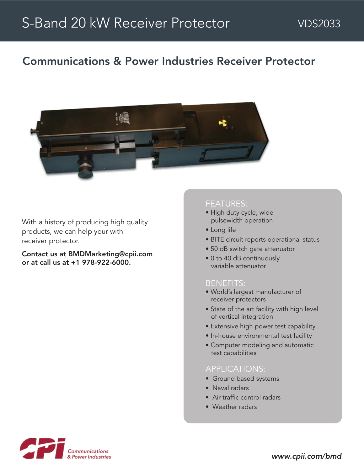# Communications & Power Industries Receiver Protector



With a history of producing high quality products, we can help your with receiver protector.

Contact us at BMDMarketing@cpii.com or at call us at +1 978-922-6000.

#### FEATURES:

- High duty cycle, wide pulsewidth operation
- Long life
- BITE circuit reports operational status
- 50 dB switch gate attenuator
- 0 to 40 dB continuously variable attenuator

#### BENEFITS:

- World's largest manufacturer of receiver protectors
- State of the art facility with high level of vertical integration
- Extensive high power test capability
- In-house environmental test facility
- Computer modeling and automatic test capabilities

### APPLICATIONS:

- Ground based systems
- Naval radars
- Air traffic control radars
- Weather radars